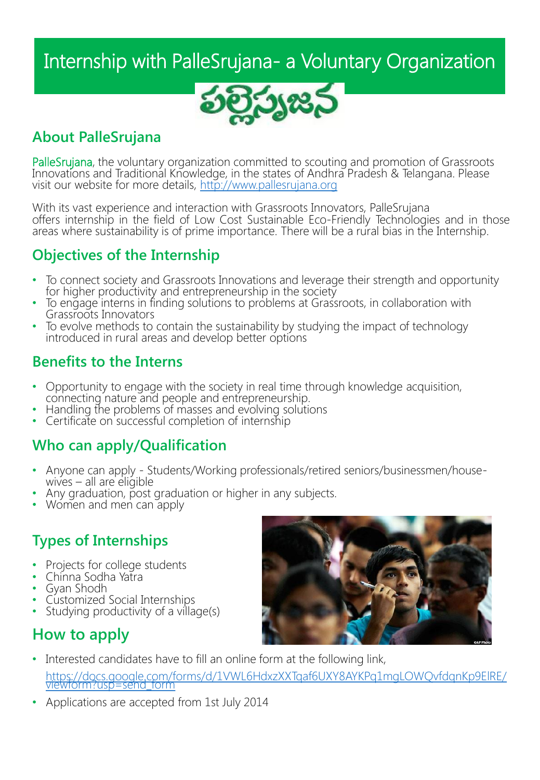# Internship with PalleSrujana- a Voluntary Organization



### **About PalleSrujana**

PalleSrujana, the voluntary organization committed to scouting and promotion of Grassroots Innovations and Traditional Knowledge, in the states of Andhra Pradesh & Telangana. Please visit our website for more details, [http://www.pallesrujana.org](http://www.pallesrujana.org/)

With its vast experience and interaction with Grassroots Innovators, PalleSrujana offers internship in the field of Low Cost Sustainable Eco-Friendly Technologies and in those areas where sustainability is of prime importance. There will be a rural bias in the Internship.

### **Objectives of the Internship**

- To connect society and Grassroots Innovations and leverage their strength and opportunity for higher productivity and entrepreneurship in the society
- To engage interns in finding solutions to problems at Grassroots, in collaboration with Grassroots Innovators
- To evolve methods to contain the sustainability by studying the impact of technology introduced in rural areas and develop better options

### **Benefits to the Interns**

- Opportunity to engage with the society in real time through knowledge acquisition, connecting nature and people and entrepreneurship.
- Handling the problems of masses and evolving solutions
- Certificate on successful completion of internship

### **Who can apply/Qualification**

- Anyone can apply Students/Working professionals/retired seniors/businessmen/housewives  $-$  all are eligible
- Any graduation, post graduation or higher in any subjects.
- Women and men can apply

### **Types of Internships**

- Projects for college students
- Chinna Sodha Yatra
- Gyan Shodh
- Customized Social Internships
- Studying productivity of a village(s)

### **How to apply**



- Interested candidates have to fill an online form at the following link, [https://docs.google.com/forms/d/1VWL6HdxzXXTqaf6UXY8AYKPq1mgLOWQvfdqnKp9ElRE/](https://docs.google.com/forms/d/1VWL6HdxzXXTqaf6UXY8AYKPq1mgLOWQvfdqnKp9ElRE/viewform?usp=send_form)<br>viewform?usp=send\_form
- Applications are accepted from 1st July 2014